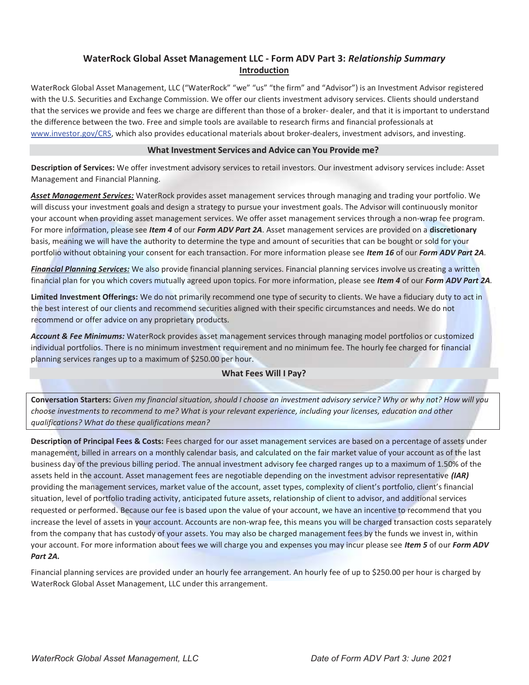# WaterRock Global Asset Management LLC - Form ADV Part 3: Relationship Summary Introduction

WaterRock Global Asset Management, LLC ("WaterRock" "we" "us" "the firm" and "Advisor") is an Investment Advisor registered with the U.S. Securities and Exchange Commission. We offer our clients investment advisory services. Clients should understand that the services we provide and fees we charge are different than those of a broker- dealer, and that it is important to understand the difference between the two. Free and simple tools are available to research firms and financial professionals at www.investor.gov/CRS, which also provides educational materials about broker-dealers, investment advisors, and investing.

#### What Investment Services and Advice can You Provide me?

Description of Services: We offer investment advisory services to retail investors. Our investment advisory services include: Asset Management and Financial Planning.

Asset Management Services: WaterRock provides asset management services through managing and trading your portfolio. We will discuss your investment goals and design a strategy to pursue your investment goals. The Advisor will continuously monitor your account when providing asset management services. We offer asset management services through a non-wrap fee program. For more information, please see Item 4 of our Form ADV Part 2A. Asset management services are provided on a discretionary basis, meaning we will have the authority to determine the type and amount of securities that can be bought or sold for your portfolio without obtaining your consent for each transaction. For more information please see Item 16 of our Form ADV Part 2A.

Financial Planning Services: We also provide financial planning services. Financial planning services involve us creating a written financial plan for you which covers mutually agreed upon topics. For more information, please see Item 4 of our Form ADV Part 2A.

Limited Investment Offerings: We do not primarily recommend one type of security to clients. We have a fiduciary duty to act in the best interest of our clients and recommend securities aligned with their specific circumstances and needs. We do not recommend or offer advice on any proprietary products.

Account & Fee Minimums: WaterRock provides asset management services through managing model portfolios or customized individual portfolios. There is no minimum investment requirement and no minimum fee. The hourly fee charged for financial planning services ranges up to a maximum of \$250.00 per hour.

## What Fees Will I Pay?

Conversation Starters: Given my financial situation, should I choose an investment advisory service? Why or why not? How will you choose investments to recommend to me? What is your relevant experience, including your licenses, education and other qualifications? What do these qualifications mean?

Description of Principal Fees & Costs: Fees charged for our asset management services are based on a percentage of assets under management, billed in arrears on a monthly calendar basis, and calculated on the fair market value of your account as of the last business day of the previous billing period. The annual investment advisory fee charged ranges up to a maximum of 1.50% of the assets held in the account. Asset management fees are negotiable depending on the investment advisor representative (IAR) providing the management services, market value of the account, asset types, complexity of client's portfolio, client's financial situation, level of portfolio trading activity, anticipated future assets, relationship of client to advisor, and additional services requested or performed. Because our fee is based upon the value of your account, we have an incentive to recommend that you increase the level of assets in your account. Accounts are non-wrap fee, this means you will be charged transaction costs separately from the company that has custody of your assets. You may also be charged management fees by the funds we invest in, within your account. For more information about fees we will charge you and expenses you may incur please see Item 5 of our Form ADV Part 2A.

Financial planning services are provided under an hourly fee arrangement. An hourly fee of up to \$250.00 per hour is charged by WaterRock Global Asset Management, LLC under this arrangement.